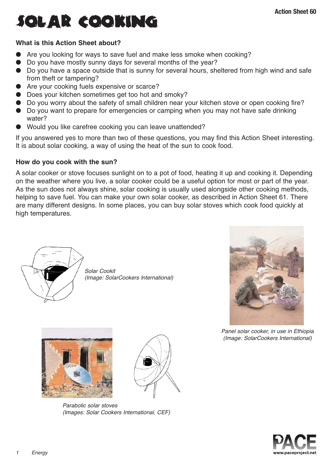# solar cooking

# **What is this Action Sheet about?**

- Are you looking for ways to save fuel and make less smoke when cooking?
- Do you have mostly sunny days for several months of the year?
- Do you have a space outside that is sunny for several hours, sheltered from high wind and safe from theft or tampering?
- Are your cooking fuels expensive or scarce?
- Does your kitchen sometimes get too hot and smoky?
- Do you worry about the safety of small children near your kitchen stove or open cooking fire?
- Do you want to prepare for emergencies or camping when you may not have safe drinking water?
- Would you like carefree cooking you can leave unattended?

If you answered yes to more than two of these questions, you may find this Action Sheet interesting. It is about solar cooking, a way of using the heat of the sun to cook food.

# **How do you cook with the sun?**

A solar cooker or stove focuses sunlight on to a pot of food, heating it up and cooking it. Depending on the weather where you live, a solar cooker could be a useful option for most or part of the year. As the sun does not always shine, solar cooking is usually used alongside other cooking methods, helping to save fuel. You can make your own solar cooker, as described in Action Sheet 61. There are many different designs. In some places, you can buy solar stoves which cook food quickly at high temperatures.



Solar Cookit (Image: SolarCookers International)





Parabolic solar stoves (Images: Solar Cookers International, CEF)



Panel solar cooker, in use in Ethiopia (Image: SolarCookers International)

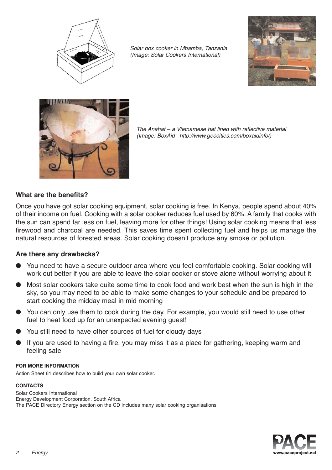

Solar box cooker in Mbamba, Tanzania (Image: Solar Cookers International)





The Anahat – a Vietnamese hat lined with reflective material (Image: BoxAid –http://www.geocities.com/boxaidinfo/)

# **What are the benefits?**

Once you have got solar cooking equipment, solar cooking is free. In Kenya, people spend about 40% of their income on fuel. Cooking with a solar cooker reduces fuel used by 60%. A family that cooks with the sun can spend far less on fuel, leaving more for other things! Using solar cooking means that less firewood and charcoal are needed. This saves time spent collecting fuel and helps us manage the natural resources of forested areas. Solar cooking doesn't produce any smoke or pollution.

# **Are there any drawbacks?**

- You need to have a secure outdoor area where you feel comfortable cooking. Solar cooking will work out better if you are able to leave the solar cooker or stove alone without worrying about it
- Most solar cookers take quite some time to cook food and work best when the sun is high in the sky, so you may need to be able to make some changes to your schedule and be prepared to start cooking the midday meal in mid morning
- You can only use them to cook during the day. For example, you would still need to use other fuel to heat food up for an unexpected evening guest!
- You still need to have other sources of fuel for cloudy days
- If you are used to having a fire, you may miss it as a place for gathering, keeping warm and feeling safe

#### **FOR MORE INFORMATION**

Action Sheet 61 describes how to build your own solar cooker.

#### **CONTACTS**

Solar Cookers International Energy Development Corporation, South Africa The PACE Directory Energy section on the CD includes many solar cooking organisations